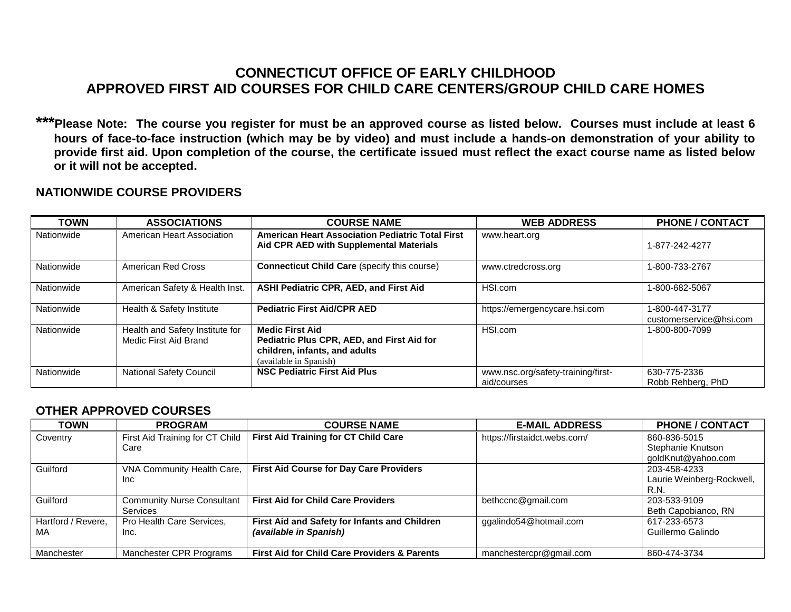## **CONNECTICUT OFFICE OF EARLY CHILDHOOD APPROVED FIRST AID COURSES FOR CHILD CARE CENTERS/GROUP CHILD CARE HOMES**

**\*\*\*Please Note: The course you register for must be an approved course as listed below. Courses must include at least 6 hours of face-to-face instruction (which may be by video) and must include a hands-on demonstration of your ability to provide first aid. Upon completion of the course, the certificate issued must reflect the exact course name as listed below or it will not be accepted.**

## **NATIONWIDE COURSE PROVIDERS**

| <b>TOWN</b> | <b>ASSOCIATIONS</b>                                      | <b>COURSE NAME</b>                                                                                                              | <b>WEB ADDRESS</b>                                | <b>PHONE / CONTACT</b>                    |
|-------------|----------------------------------------------------------|---------------------------------------------------------------------------------------------------------------------------------|---------------------------------------------------|-------------------------------------------|
| Nationwide  | American Heart Association                               | <b>American Heart Association Pediatric Total First</b><br>Aid CPR AED with Supplemental Materials                              | www.heart.org                                     | 1-877-242-4277                            |
| Nationwide  | American Red Cross                                       | <b>Connecticut Child Care (specify this course)</b>                                                                             | www.ctredcross.org                                | 1-800-733-2767                            |
| Nationwide  | American Safety & Health Inst.                           | <b>ASHI Pediatric CPR, AED, and First Aid</b>                                                                                   | HSI.com                                           | 1-800-682-5067                            |
| Nationwide  | Health & Safety Institute                                | <b>Pediatric First Aid/CPR AED</b>                                                                                              | https://emergencycare.hsi.com                     | 1-800-447-3177<br>customerservice@hsi.com |
| Nationwide  | Health and Safety Institute for<br>Medic First Aid Brand | <b>Medic First Aid</b><br>Pediatric Plus CPR, AED, and First Aid for<br>children, infants, and adults<br>(available in Spanish) | HSI.com                                           | 1-800-800-7099                            |
| Nationwide  | <b>National Safety Council</b>                           | <b>NSC Pediatric First Aid Plus</b>                                                                                             | www.nsc.org/safety-training/first-<br>aid/courses | 630-775-2336<br>Robb Rehberg, PhD         |

## **OTHER APPROVED COURSES**

| <b>TOWN</b>        | <b>PROGRAM</b>                    | <b>COURSE NAME</b>                                      | <b>E-MAIL ADDRESS</b>        | <b>PHONE / CONTACT</b>    |
|--------------------|-----------------------------------|---------------------------------------------------------|------------------------------|---------------------------|
| Coventry           | First Aid Training for CT Child   | <b>First Aid Training for CT Child Care</b>             | https://firstaidct.webs.com/ | 860-836-5015              |
|                    | Care                              |                                                         |                              | Stephanie Knutson         |
|                    |                                   |                                                         |                              | goldKnut@yahoo.com        |
| Guilford           | VNA Community Health Care,        | <b>First Aid Course for Day Care Providers</b>          |                              | 203-458-4233              |
|                    | Inc.                              |                                                         |                              | Laurie Weinberg-Rockwell, |
|                    |                                   |                                                         |                              | R.N.                      |
| Guilford           | <b>Community Nurse Consultant</b> | <b>First Aid for Child Care Providers</b>               | bethccnc@gmail.com           | 203-533-9109              |
|                    | Services                          |                                                         |                              | Beth Capobianco, RN       |
| Hartford / Revere, | Pro Health Care Services.         | First Aid and Safety for Infants and Children           | ggalindo54@hotmail.com       | 617-233-6573              |
| MA                 | Inc.                              | (available in Spanish)                                  |                              | Guillermo Galindo         |
|                    |                                   |                                                         |                              |                           |
| Manchester         | Manchester CPR Programs           | <b>First Aid for Child Care Providers &amp; Parents</b> | manchestercpr@gmail.com      | 860-474-3734              |